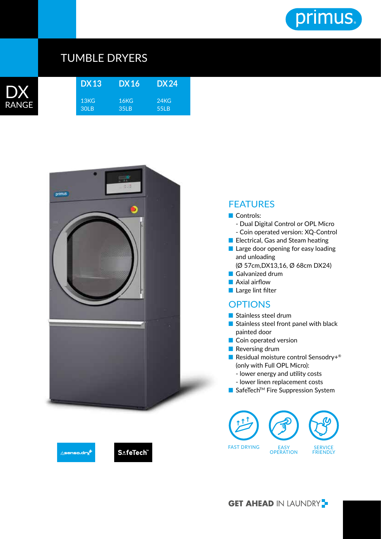

## TUMBLE DRYERS



| DX13 DX16 |                  | DX24 |
|-----------|------------------|------|
| 13KG      | 16KG             | 24KG |
| 30LB      | 35 <sub>LB</sub> | 55LB |



## FEATURES

## ■ Controls:

- Dual Digital Control or OPL Micro - Coin operated version: XQ-Control
- Electrical, Gas and Steam heating
- Large door opening for easy loading and unloading
	- (Ø 57cm,DX13,16, Ø 68cm DX24)
- Galvanized drum
- Axial airflow
- Large lint filter

## **OPTIONS**

- Stainless steel drum
- Stainless steel front panel with black painted door
- Coin operated version
- Reversing drum
- Residual moisture control Sensodry+<sup>®</sup> (only with Full OPL Micro):
	- lower energy and utility costs
	- lower linen replacement costs
- SafeTech<sup>™</sup> Fire Suppression System







**GET AHEAD IN LAUNDRY**